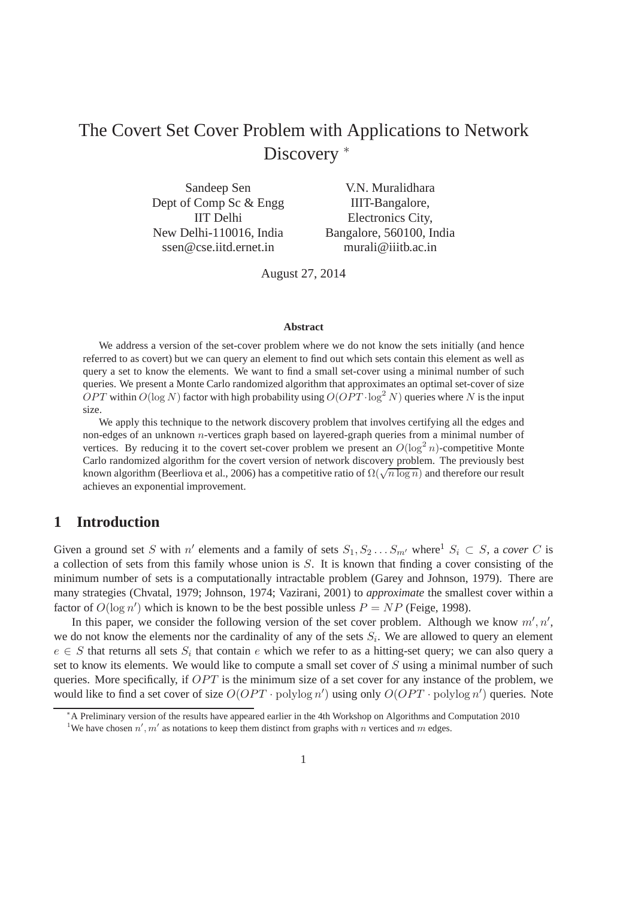# The Covert Set Cover Problem with Applications to Network Discovery  $*$

Sandeep Sen Dept of Comp Sc & Engg IIT Delhi New Delhi-110016, India ssen@cse.iitd.ernet.in

V.N. Muralidhara IIIT-Bangalore, Electronics City, Bangalore, 560100, India murali@iiitb.ac.in

August 27, 2014

#### **Abstract**

We address a version of the set-cover problem where we do not know the sets initially (and hence referred to as covert) but we can query an element to find out which sets contain this element as well as query a set to know the elements. We want to find a small set-cover using a minimal number of such queries. We present a Monte Carlo randomized algorithm that approximates an optimal set-cover of size OPT within  $O(\log N)$  factor with high probability using  $O(OPT \cdot \log^2 N)$  queries where N is the input size.

We apply this technique to the network discovery problem that involves certifying all the edges and non-edges of an unknown n-vertices graph based on layered-graph queries from a minimal number of vertices. By reducing it to the covert set-cover problem we present an  $O(\log^2 n)$ -competitive Monte Carlo randomized algorithm for the covert version of network discovery problem. The previously best known algorithm (Beerliova et al., 2006) has a competitive ratio of  $\Omega(\sqrt{n \log n})$  and therefore our result achieves an exponential improvement.

# **1 Introduction**

Given a ground set S with n' elements and a family of sets  $S_1, S_2 \ldots S_{m'}$  where  $^1 S_i \subset S$ , a *cover* C is a collection of sets from this family whose union is S. It is known that finding a cover consisting of the minimum number of sets is a computationally intractable problem (Garey and Johnson, 1979). There are many strategies (Chvatal, 1979; Johnson, 1974; Vazirani, 2001) to *approximate* the smallest cover within a factor of  $O(\log n')$  which is known to be the best possible unless  $P = NP$  (Feige, 1998).

In this paper, we consider the following version of the set cover problem. Although we know  $m', n',$ we do not know the elements nor the cardinality of any of the sets  $S_i$ . We are allowed to query an element  $e \in S$  that returns all sets  $S_i$  that contain e which we refer to as a hitting-set query; we can also query a set to know its elements. We would like to compute a small set cover of S using a minimal number of such queries. More specifically, if  $OPT$  is the minimum size of a set cover for any instance of the problem, we would like to find a set cover of size  $O(OPT \cdot \text{polylog } n')$  using only  $O(OPT \cdot \text{polylog } n')$  queries. Note

<sup>∗</sup>A Preliminary version of the results have appeared earlier in the 4th Workshop on Algorithms and Computation 2010

<sup>&</sup>lt;sup>1</sup>We have chosen  $n'$ ,  $m'$  as notations to keep them distinct from graphs with n vertices and m edges.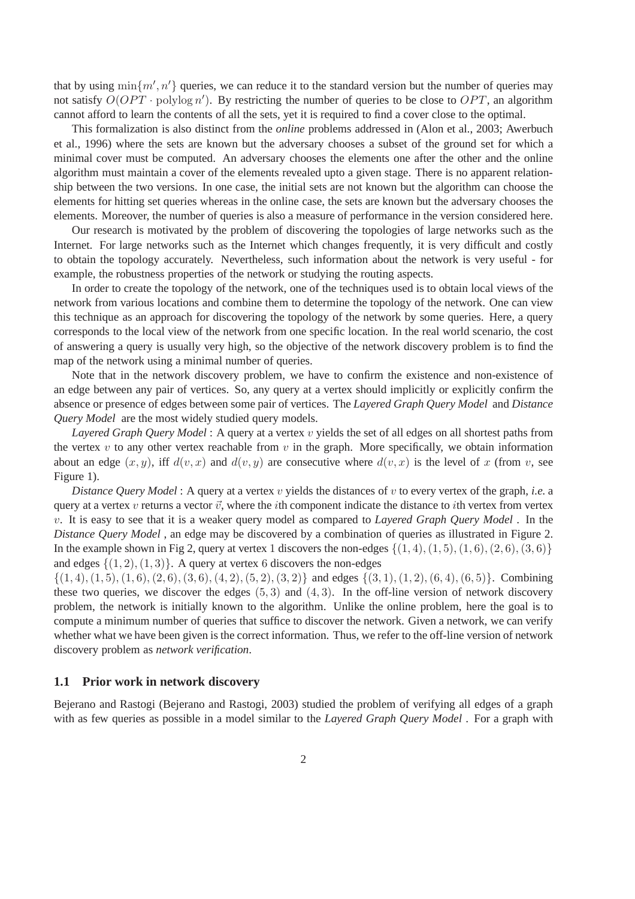that by using  $\min\{m', n'\}$  queries, we can reduce it to the standard version but the number of queries may not satisfy  $O(OPT \cdot \text{polylog } n')$ . By restricting the number of queries to be close to  $OPT$ , an algorithm cannot afford to learn the contents of all the sets, yet it is required to find a cover close to the optimal.

This formalization is also distinct from the *online* problems addressed in (Alon et al., 2003; Awerbuch et al., 1996) where the sets are known but the adversary chooses a subset of the ground set for which a minimal cover must be computed. An adversary chooses the elements one after the other and the online algorithm must maintain a cover of the elements revealed upto a given stage. There is no apparent relationship between the two versions. In one case, the initial sets are not known but the algorithm can choose the elements for hitting set queries whereas in the online case, the sets are known but the adversary chooses the elements. Moreover, the number of queries is also a measure of performance in the version considered here.

Our research is motivated by the problem of discovering the topologies of large networks such as the Internet. For large networks such as the Internet which changes frequently, it is very difficult and costly to obtain the topology accurately. Nevertheless, such information about the network is very useful - for example, the robustness properties of the network or studying the routing aspects.

In order to create the topology of the network, one of the techniques used is to obtain local views of the network from various locations and combine them to determine the topology of the network. One can view this technique as an approach for discovering the topology of the network by some queries. Here, a query corresponds to the local view of the network from one specific location. In the real world scenario, the cost of answering a query is usually very high, so the objective of the network discovery problem is to find the map of the network using a minimal number of queries.

Note that in the network discovery problem, we have to confirm the existence and non-existence of an edge between any pair of vertices. So, any query at a vertex should implicitly or explicitly confirm the absence or presence of edges between some pair of vertices. The *Layered Graph Query Model* and *Distance Query Model* are the most widely studied query models.

*Layered Graph Query Model* : A query at a vertex v yields the set of all edges on all shortest paths from the vertex v to any other vertex reachable from v in the graph. More specifically, we obtain information about an edge  $(x, y)$ , iff  $d(v, x)$  and  $d(v, y)$  are consecutive where  $d(v, x)$  is the level of x (from v, see Figure 1).

*Distance Query Model* : A query at a vertex v yields the distances of v to every vertex of the graph, *i.e.* a query at a vertex v returns a vector  $\vec{v}$ , where the *i*th component indicate the distance to *i*th vertex from vertex v. It is easy to see that it is a weaker query model as compared to *Layered Graph Query Model* . In the *Distance Query Model* , an edge may be discovered by a combination of queries as illustrated in Figure 2. In the example shown in Fig 2, query at vertex 1 discovers the non-edges  $\{(1, 4), (1, 5), (1, 6), (2, 6), (3, 6)\}\$ and edges  $\{(1, 2), (1, 3)\}\$ . A query at vertex 6 discovers the non-edges

 $\{(1, 4), (1, 5), (1, 6), (2, 6), (3, 6), (4, 2), (5, 2), (3, 2)\}\$ and edges  $\{(3, 1), (1, 2), (6, 4), (6, 5)\}\$ . Combining these two queries, we discover the edges  $(5, 3)$  and  $(4, 3)$ . In the off-line version of network discovery problem, the network is initially known to the algorithm. Unlike the online problem, here the goal is to compute a minimum number of queries that suffice to discover the network. Given a network, we can verify whether what we have been given is the correct information. Thus, we refer to the off-line version of network discovery problem as *network verification*.

#### **1.1 Prior work in network discovery**

Bejerano and Rastogi (Bejerano and Rastogi, 2003) studied the problem of verifying all edges of a graph with as few queries as possible in a model similar to the *Layered Graph Query Model* . For a graph with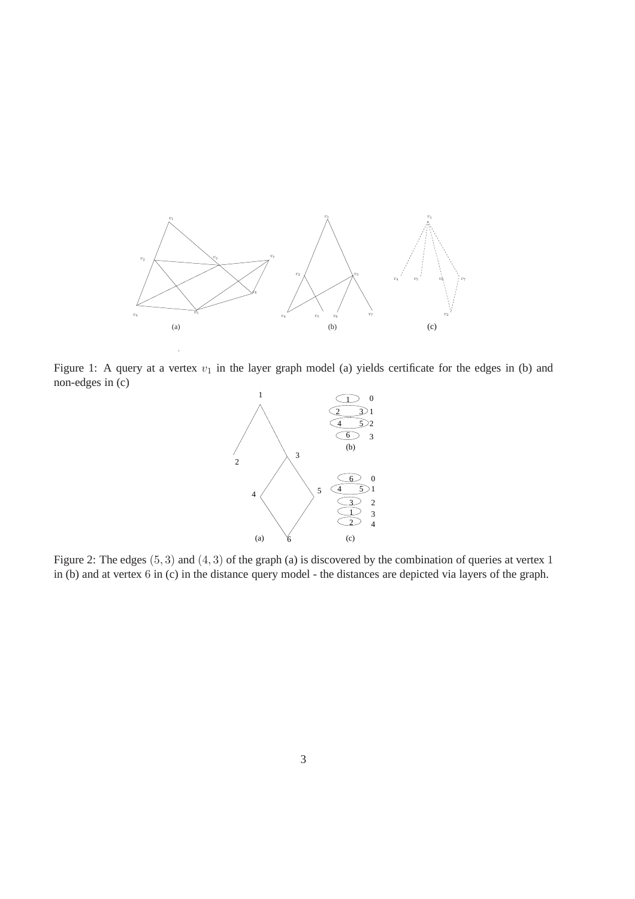

Figure 1: A query at a vertex  $v_1$  in the layer graph model (a) yields certificate for the edges in (b) and non-edges in (c)



Figure 2: The edges  $(5, 3)$  and  $(4, 3)$  of the graph (a) is discovered by the combination of queries at vertex 1 in (b) and at vertex 6 in (c) in the distance query model - the distances are depicted via layers of the graph.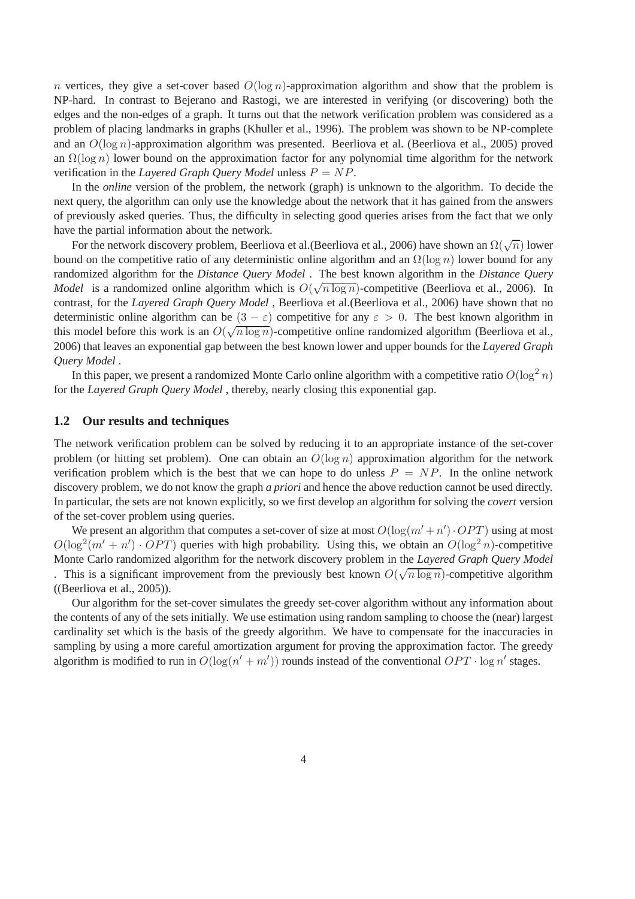n vertices, they give a set-cover based  $O(\log n)$ -approximation algorithm and show that the problem is NP-hard. In contrast to Bejerano and Rastogi, we are interested in verifying (or discovering) both the edges and the non-edges of a graph. It turns out that the network verification problem was considered as a problem of placing landmarks in graphs (Khuller et al., 1996). The problem was shown to be NP-complete and an  $O(\log n)$ -approximation algorithm was presented. Beerliova et al. (Beerliova et al., 2005) proved an  $\Omega(\log n)$  lower bound on the approximation factor for any polynomial time algorithm for the network verification in the *Layered Graph Query Model* unless P = NP.

In the *online* version of the problem, the network (graph) is unknown to the algorithm. To decide the next query, the algorithm can only use the knowledge about the network that it has gained from the answers of previously asked queries. Thus, the difficulty in selecting good queries arises from the fact that we only have the partial information about the network.

For the network discovery problem, Beerliova et al.(Beerliova et al., 2006) have shown an  $\Omega(\sqrt{n})$  lower bound on the competitive ratio of any deterministic online algorithm and an  $\Omega(\log n)$  lower bound for any randomized algorithm for the *Distance Query Model* . The best known algorithm in the *Distance Query Model* is a randomized online algorithm which is  $O(\sqrt{n \log n})$ -competitive (Beerliova et al., 2006). In contrast, for the *Layered Graph Query Model* , Beerliova et al.(Beerliova et al., 2006) have shown that no deterministic online algorithm can be  $(3 - \varepsilon)$  competitive for any  $\varepsilon > 0$ . The best known algorithm in this model before this work is an  $O(\sqrt{n \log n})$ -competitive online randomized algorithm (Beerliova et al., 2006) that leaves an exponential gap between the best known lower and upper bounds for the *Layered Graph Query Model* .

In this paper, we present a randomized Monte Carlo online algorithm with a competitive ratio  $O(\log^2 n)$ for the *Layered Graph Query Model* , thereby, nearly closing this exponential gap.

#### **1.2 Our results and techniques**

The network verification problem can be solved by reducing it to an appropriate instance of the set-cover problem (or hitting set problem). One can obtain an  $O(\log n)$  approximation algorithm for the network verification problem which is the best that we can hope to do unless  $P = NP$ . In the online network discovery problem, we do not know the graph *a priori* and hence the above reduction cannot be used directly. In particular, the sets are not known explicitly, so we first develop an algorithm for solving the *covert* version of the set-cover problem using queries.

We present an algorithm that computes a set-cover of size at most  $O(\log(m'+n') \cdot OPT)$  using at most  $O(\log^2(m' + n') \cdot OPT)$  queries with high probability. Using this, we obtain an  $O(\log^2 n)$ -competitive Monte Carlo randomized algorithm for the network discovery problem in the *Layered Graph Query Model* This is a significant improvement from the previously best known  $O(\sqrt{n \log n})$ -competitive algorithm ((Beerliova et al., 2005)).

Our algorithm for the set-cover simulates the greedy set-cover algorithm without any information about the contents of any of the sets initially. We use estimation using random sampling to choose the (near) largest cardinality set which is the basis of the greedy algorithm. We have to compensate for the inaccuracies in sampling by using a more careful amortization argument for proving the approximation factor. The greedy algorithm is modified to run in  $O(\log(n' + m'))$  rounds instead of the conventional  $OPT \cdot \log n'$  stages.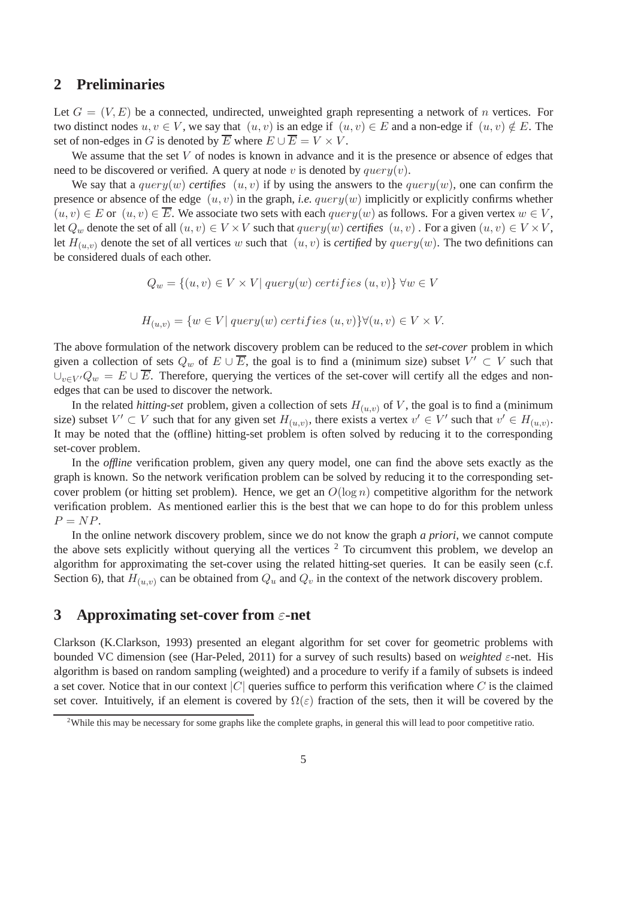### **2 Preliminaries**

Let  $G = (V, E)$  be a connected, undirected, unweighted graph representing a network of *n* vertices. For two distinct nodes  $u, v \in V$ , we say that  $(u, v)$  is an edge if  $(u, v) \in E$  and a non-edge if  $(u, v) \notin E$ . The set of non-edges in G is denoted by  $\overline{E}$  where  $E \cup \overline{E} = V \times V$ .

We assume that the set  $V$  of nodes is known in advance and it is the presence or absence of edges that need to be discovered or verified. A query at node v is denoted by  $query(v)$ .

We say that a query(w) *certifies*  $(u, v)$  if by using the answers to the query(w), one can confirm the presence or absence of the edge  $(u, v)$  in the graph, *i.e.* query $(w)$  implicitly or explicitly confirms whether  $(u, v) \in E$  or  $(u, v) \in E$ . We associate two sets with each  $query(w)$  as follows. For a given vertex  $w \in V$ , let  $Q_w$  denote the set of all  $(u, v) \in V \times V$  such that  $query(w)$  *certifies*  $(u, v)$ . For a given  $(u, v) \in V \times V$ , let  $H_{(u,v)}$  denote the set of all vertices w such that  $(u, v)$  is *certified* by *query* $(w)$ . The two definitions can be considered duals of each other.

$$
Q_w = \{(u, v) \in V \times V | \text{ query}(w) \text{ certificates } (u, v)\} \forall w \in V
$$

$$
H_{(u,v)} = \{w \in V | \text{ query}(w) \text{ certificates } (u,v)\} \forall (u,v) \in V \times V.
$$

The above formulation of the network discovery problem can be reduced to the *set-cover* problem in which given a collection of sets  $Q_w$  of  $E \cup \overline{E}$ , the goal is to find a (minimum size) subset  $V' \subset V$  such that  $\cup_{v\in V'}Q_w = E \cup \overline{E}$ . Therefore, querying the vertices of the set-cover will certify all the edges and nonedges that can be used to discover the network.

In the related *hitting-set* problem, given a collection of sets  $H_{(u,v)}$  of V, the goal is to find a (minimum size) subset  $V' \subset V$  such that for any given set  $H_{(u,v)}$ , there exists a vertex  $v' \in V'$  such that  $v' \in H_{(u,v)}$ . It may be noted that the (offline) hitting-set problem is often solved by reducing it to the corresponding set-cover problem.

In the *offline* verification problem, given any query model, one can find the above sets exactly as the graph is known. So the network verification problem can be solved by reducing it to the corresponding setcover problem (or hitting set problem). Hence, we get an  $O(\log n)$  competitive algorithm for the network verification problem. As mentioned earlier this is the best that we can hope to do for this problem unless  $P = NP$ .

In the online network discovery problem, since we do not know the graph *a priori*, we cannot compute the above sets explicitly without querying all the vertices  $2$  To circumvent this problem, we develop an algorithm for approximating the set-cover using the related hitting-set queries. It can be easily seen (c.f. Section 6), that  $H_{(u,v)}$  can be obtained from  $Q_u$  and  $Q_v$  in the context of the network discovery problem.

### **3 Approximating set-cover from** ε**-net**

Clarkson (K.Clarkson, 1993) presented an elegant algorithm for set cover for geometric problems with bounded VC dimension (see (Har-Peled, 2011) for a survey of such results) based on *weighted* ε-net. His algorithm is based on random sampling (weighted) and a procedure to verify if a family of subsets is indeed a set cover. Notice that in our context |C| queries suffice to perform this verification where C is the claimed set cover. Intuitively, if an element is covered by  $\Omega(\varepsilon)$  fraction of the sets, then it will be covered by the

<sup>&</sup>lt;sup>2</sup>While this may be necessary for some graphs like the complete graphs, in general this will lead to poor competitive ratio.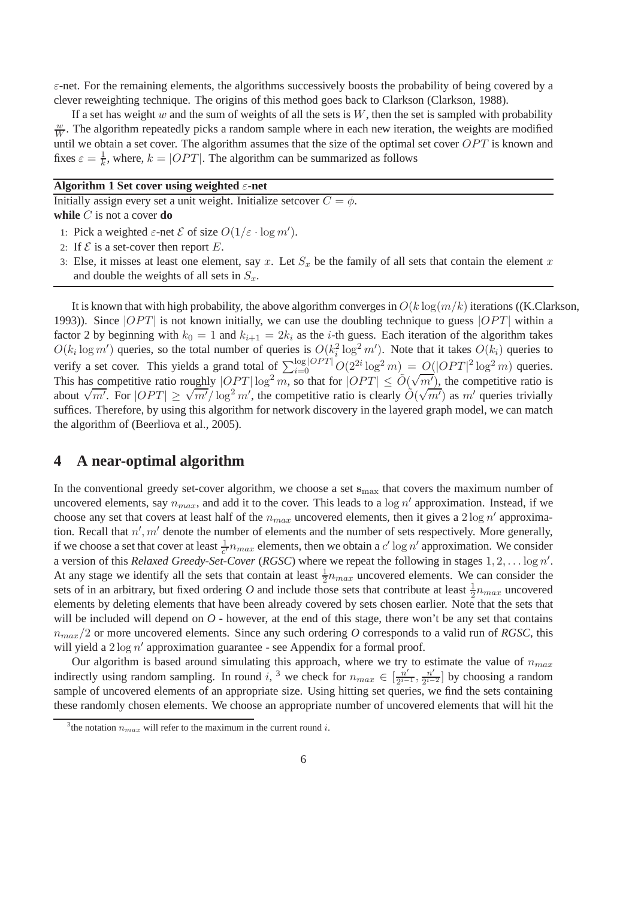$\varepsilon$ -net. For the remaining elements, the algorithms successively boosts the probability of being covered by a clever reweighting technique. The origins of this method goes back to Clarkson (Clarkson, 1988).

If a set has weight w and the sum of weights of all the sets is W, then the set is sampled with probability  $\frac{w}{W}$ . The algorithm repeatedly picks a random sample where in each new iteration, the weights are modified until we obtain a set cover. The algorithm assumes that the size of the optimal set cover  $OPT$  is known and fixes  $\varepsilon = \frac{1}{k}$  $\frac{1}{k}$ , where,  $k = |OPT|$ . The algorithm can be summarized as follows

### **Algorithm 1 Set cover using weighted** ε**-net**

Initially assign every set a unit weight. Initialize setcover  $C = \phi$ . **while** C is not a cover **do**

- 1: Pick a weighted  $\varepsilon$ -net  $\mathcal E$  of size  $O(1/\varepsilon \cdot \log m')$ .
- 2: If  $\mathcal E$  is a set-cover then report  $E$ .
- 3: Else, it misses at least one element, say x. Let  $S_x$  be the family of all sets that contain the element x and double the weights of all sets in  $S_x$ .

It is known that with high probability, the above algorithm converges in  $O(k \log(m/k))$  iterations ((K.Clarkson, 1993)). Since  $|OPT|$  is not known initially, we can use the doubling technique to guess  $|OPT|$  within a factor 2 by beginning with  $k_0 = 1$  and  $k_{i+1} = 2k_i$  as the *i*-th guess. Each iteration of the algorithm takes  $O(k_i \log m')$  queries, so the total number of queries is  $O(k_i^2 \log^2 m')$ . Note that it takes  $O(k_i)$  queries to verify a set cover. This yields a grand total of  $\sum_{i=0}^{\log |OPT|} O(2^{2i} \log^2 m) = O(|OPT|^2 \log^2 m)$  queries. This has competitive ratio roughly  $|OPT| \log^2 m$ , so that for  $|OPT| \le \tilde{O}(\sqrt{m'})$ , the competitive ratio is about  $\sqrt{m'}$ . For  $|OPT| \ge \sqrt{m'}/\log^2 m'$ , the competitive ratio is clearly  $\tilde{O}(\sqrt{m'})$  as m' queries trivially suffices. Therefore, by using this algorithm for network discovery in the layered graph model, we can match the algorithm of (Beerliova et al., 2005).

## **4 A near-optimal algorithm**

In the conventional greedy set-cover algorithm, we choose a set  $s_{\text{max}}$  that covers the maximum number of uncovered elements, say  $n_{max}$ , and add it to the cover. This leads to a  $\log n'$  approximation. Instead, if we choose any set that covers at least half of the  $n_{max}$  uncovered elements, then it gives a  $2 \log n'$  approximation. Recall that  $n', m'$  denote the number of elements and the number of sets respectively. More generally, if we choose a set that cover at least  $\frac{1}{c'} n_{max}$  elements, then we obtain a  $c' \log n'$  approximation. We consider a version of this *Relaxed Greedy-Set-Cover* (*RGSC*) where we repeat the following in stages 1, 2, . . . log n ′ . At any stage we identify all the sets that contain at least  $\frac{1}{2}n_{max}$  uncovered elements. We can consider the sets of in an arbitrary, but fixed ordering O and include those sets that contribute at least  $\frac{1}{2}n_{max}$  uncovered elements by deleting elements that have been already covered by sets chosen earlier. Note that the sets that will be included will depend on  $O$  - however, at the end of this stage, there won't be any set that contains  $n_{max}/2$  or more uncovered elements. Since any such ordering O corresponds to a valid run of *RGSC*, this will yield a  $2 \log n'$  approximation guarantee - see Appendix for a formal proof.

Our algorithm is based around simulating this approach, where we try to estimate the value of  $n_{max}$ indirectly using random sampling. In round i, <sup>3</sup> we check for  $n_{max} \in [\frac{n'}{2^{i-1}}]$  $\frac{n'}{2^{i-1}}, \frac{n'}{2^{i-1}}$  $\frac{n'}{2^{i-2}}$  by choosing a random sample of uncovered elements of an appropriate size. Using hitting set queries, we find the sets containing these randomly chosen elements. We choose an appropriate number of uncovered elements that will hit the

<sup>&</sup>lt;sup>3</sup> the notation  $n_{max}$  will refer to the maximum in the current round *i*.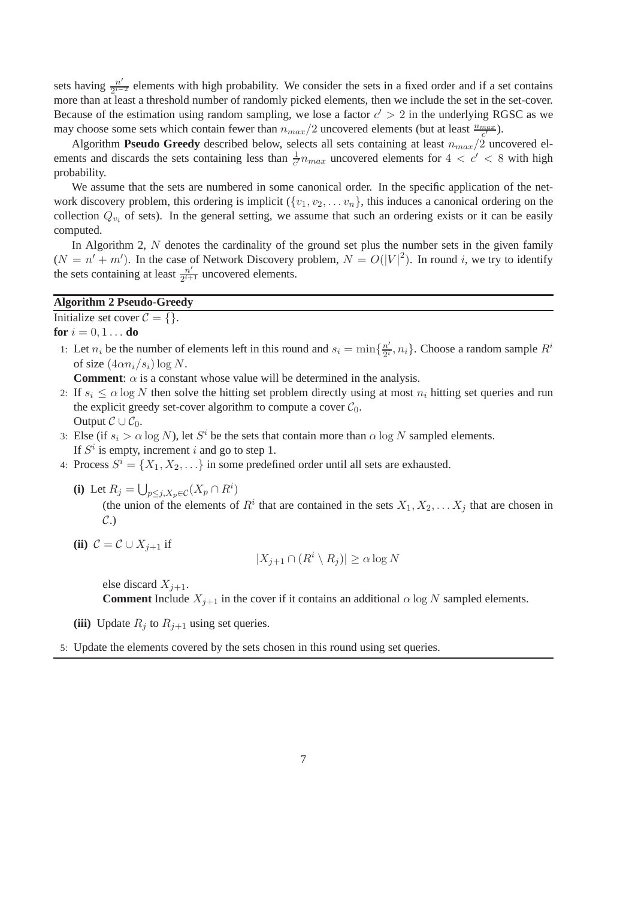sets having  $\frac{n'}{2i}$  $\frac{n'}{2^{i-2}}$  elements with high probability. We consider the sets in a fixed order and if a set contains more than at least a threshold number of randomly picked elements, then we include the set in the set-cover. Because of the estimation using random sampling, we lose a factor  $c' > 2$  in the underlying RGSC as we may choose some sets which contain fewer than  $n_{max}/2$  uncovered elements (but at least  $\frac{n_{max}}{c'}$ ).

Algorithm **Pseudo Greedy** described below, selects all sets containing at least  $n_{max}/2$  uncovered elements and discards the sets containing less than  $\frac{1}{c'} n_{max}$  uncovered elements for  $4 < c' < 8$  with high probability.

We assume that the sets are numbered in some canonical order. In the specific application of the network discovery problem, this ordering is implicit  $({v_1, v_2, \ldots v_n})$ , this induces a canonical ordering on the collection  $Q_{v_i}$  of sets). In the general setting, we assume that such an ordering exists or it can be easily computed.

In Algorithm 2,  $N$  denotes the cardinality of the ground set plus the number sets in the given family  $(N = n' + m')$ . In the case of Network Discovery problem,  $N = O(|V|^2)$ . In round i, we try to identify the sets containing at least  $\frac{n'}{2i+1}$  $\frac{n'}{2^{i+1}}$  uncovered elements.

#### **Algorithm 2 Pseudo-Greedy**

Initialize set cover  $C = \{\}.$ 

**for**  $i = 0, 1...$  **do** 

1: Let  $n_i$  be the number of elements left in this round and  $s_i = \min\{\frac{n'}{2^i}\}$  $\frac{n'}{2^i}, n_i$ }. Choose a random sample  $R^i$ of size  $(4\alpha n_i/s_i)$  log N.

**Comment:**  $\alpha$  is a constant whose value will be determined in the analysis.

- 2: If  $s_i \leq \alpha \log N$  then solve the hitting set problem directly using at most  $n_i$  hitting set queries and run the explicit greedy set-cover algorithm to compute a cover  $C_0$ . Output  $\mathcal{C} \cup \mathcal{C}_0$ .
- 3: Else (if  $s_i > \alpha \log N$ ), let  $S^i$  be the sets that contain more than  $\alpha \log N$  sampled elements. If  $S^i$  is empty, increment i and go to step 1.
- 4: Process  $S^i = \{X_1, X_2, \ldots\}$  in some predefined order until all sets are exhausted.

(i) Let 
$$
R_j = \bigcup_{p \leq j, X_p \in \mathcal{C}} (X_p \cap R^i)
$$

(the union of the elements of  $R^i$  that are contained in the sets  $X_1, X_2, \ldots X_j$  that are chosen in  $\mathcal{C}$ .)

(ii)  $C = C \cup X_{i+1}$  if

$$
|X_{j+1} \cap (R^i \setminus R_j)| \ge \alpha \log N
$$

else discard  $X_{i+1}$ .

**Comment** Include  $X_{j+1}$  in the cover if it contains an additional  $\alpha \log N$  sampled elements.

- (iii) Update  $R_j$  to  $R_{j+1}$  using set queries.
- 5: Update the elements covered by the sets chosen in this round using set queries.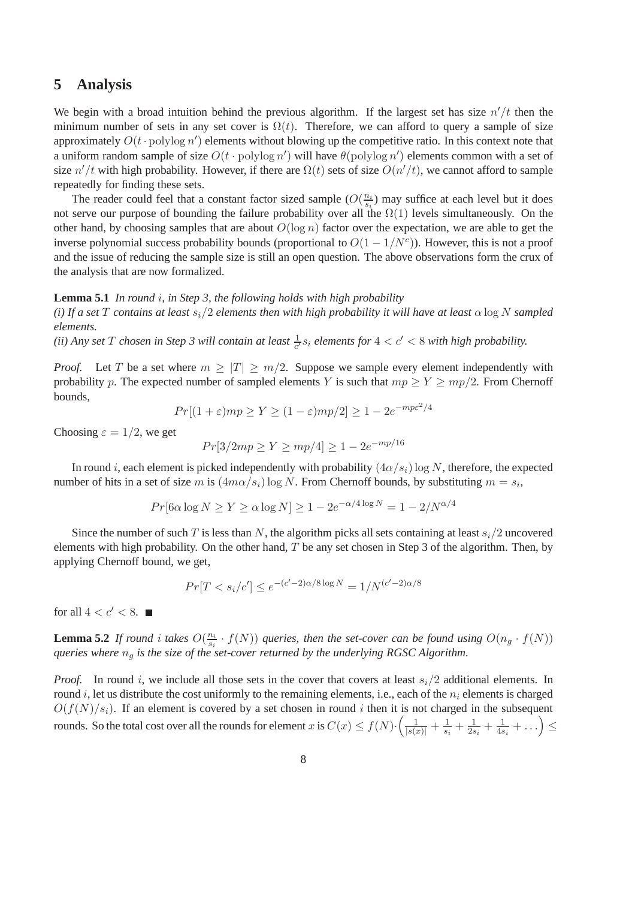## **5 Analysis**

We begin with a broad intuition behind the previous algorithm. If the largest set has size  $n'/t$  then the minimum number of sets in any set cover is  $\Omega(t)$ . Therefore, we can afford to query a sample of size approximately  $O(t \cdot \text{polylog } n')$  elements without blowing up the competitive ratio. In this context note that a uniform random sample of size  $O(t \cdot \text{polylog } n')$  will have  $\theta(\text{polylog } n')$  elements common with a set of size  $n'/t$  with high probability. However, if there are  $\Omega(t)$  sets of size  $O(n'/t)$ , we cannot afford to sample repeatedly for finding these sets.

The reader could feel that a constant factor sized sample  $(O(\frac{n_i}{s})$  $\frac{n_i}{s_i}$ ) may suffice at each level but it does not serve our purpose of bounding the failure probability over all the  $\Omega(1)$  levels simultaneously. On the other hand, by choosing samples that are about  $O(\log n)$  factor over the expectation, we are able to get the inverse polynomial success probability bounds (proportional to  $O(1 - 1/N<sup>c</sup>)$ ). However, this is not a proof and the issue of reducing the sample size is still an open question. The above observations form the crux of the analysis that are now formalized.

#### **Lemma 5.1** *In round* i*, in Step 3, the following holds with high probability*

*(i) If a set* T *contains at least*  $s_i/2$  *elements then with high probability it will have at least*  $\alpha \log N$  *sampled elements.*

*(ii)* Any set  $T$  chosen in Step 3 will contain at least  $\frac{1}{c'}s_i$  elements for  $4 < c' < 8$  with high probability.

*Proof.* Let T be a set where  $m \geq |T| \geq m/2$ . Suppose we sample every element independently with probability p. The expected number of sampled elements Y is such that  $mp \ge Y \ge mp/2$ . From Chernoff bounds,

$$
Pr[(1+\varepsilon)mp \ge Y \ge (1-\varepsilon)mp/2] \ge 1 - 2e^{-mp\varepsilon^2/4}
$$

Choosing  $\varepsilon = 1/2$ , we get

$$
Pr[3/2mp \ge Y \ge mp/4] \ge 1 - 2e^{-mp/16}
$$

In round i, each element is picked independently with probability  $(4\alpha/s_i)$  log N, therefore, the expected number of hits in a set of size m is  $(4m\alpha/s_i)$  log N. From Chernoff bounds, by substituting  $m = s_i$ ,

$$
Pr[6\alpha \log N \ge Y \ge \alpha \log N] \ge 1 - 2e^{-\alpha/4 \log N} = 1 - 2/N^{\alpha/4}
$$

Since the number of such T is less than N, the algorithm picks all sets containing at least  $s_i/2$  uncovered elements with high probability. On the other hand,  $T$  be any set chosen in Step 3 of the algorithm. Then, by applying Chernoff bound, we get,

$$
Pr[T < s_i/c'] \le e^{-(c'-2)\alpha/8 \log N} = 1/N^{(c'-2)\alpha/8}
$$

for all  $4 < c' < 8$ .

**Lemma 5.2** *If round i takes*  $O(\frac{n_i}{s})$  $\frac{n_i}{s_i} \cdot f(N)$  queries, then the set-cover can be found using  $O(n_g \cdot f(N))$ *queries where* n<sup>g</sup> *is the size of the set-cover returned by the underlying RGSC Algorithm.*

*Proof.* In round i, we include all those sets in the cover that covers at least  $s_i/2$  additional elements. In round i, let us distribute the cost uniformly to the remaining elements, i.e., each of the  $n_i$  elements is charged  $O(f(N)/s_i)$ . If an element is covered by a set chosen in round i then it is not charged in the subsequent rounds. So the total cost over all the rounds for element x is  $C(x) \le f(N) \cdot \left(\frac{1}{|s(x)|} + \frac{1}{s(x)|} + \frac{1}{|s(x)|} + \frac{1}{s(x)|} + \frac{1}{s(x)|} + \frac{1}{s(x)|} + \frac{1}{s(x)|} + \frac{1}{s(x)|} + \frac{1}{s(x)|}$  $\frac{1}{s_i}+\frac{1}{2s}$  $\frac{1}{2s_i} + \frac{1}{4s}$  $\frac{1}{4s_i} + \ldots \Big) \leq$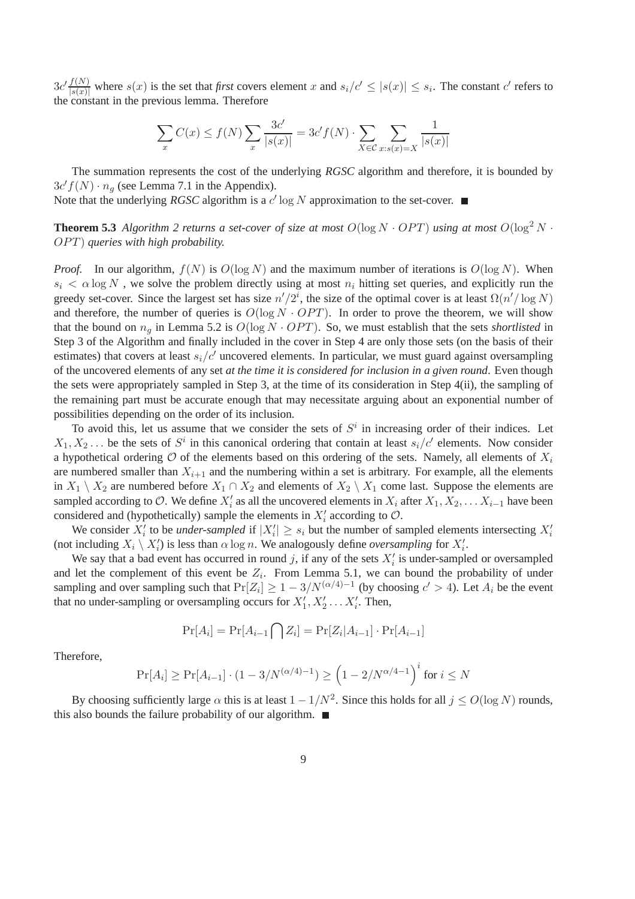$3c' \frac{f(N)}{|s(x)|}$  where  $s(x)$  is the set that *first* covers element x and  $s_i/c' \leq |s(x)| \leq s_i$ . The constant c' refers to the constant in the previous lemma. Therefore

$$
\sum_x C(x) \le f(N) \sum_x \frac{3c'}{|s(x)|} = 3c'f(N) \cdot \sum_{X \in \mathcal{C}} \sum_{x:s(x)=X} \frac{1}{|s(x)|}
$$

The summation represents the cost of the underlying *RGSC* algorithm and therefore, it is bounded by  $3c' f(N) \cdot n_g$  (see Lemma 7.1 in the Appendix).

Note that the underlying *RGSC* algorithm is a  $c'$  log  $N$  approximation to the set-cover.

**Theorem 5.3** *Algorithm 2 returns a set-cover of size at most*  $O(\log N \cdot OPT)$  *using at most*  $O(\log^2 N \cdot \frac{1}{N})$ OPT) *queries with high probability*.

*Proof.* In our algorithm,  $f(N)$  is  $O(\log N)$  and the maximum number of iterations is  $O(\log N)$ . When  $s_i < \alpha \log N$ , we solve the problem directly using at most  $n_i$  hitting set queries, and explicitly run the greedy set-cover. Since the largest set has size  $n'/2^i$ , the size of the optimal cover is at least  $\Omega(n'/\log N)$ and therefore, the number of queries is  $O(\log N \cdot OPT)$ . In order to prove the theorem, we will show that the bound on  $n_q$  in Lemma 5.2 is  $O(\log N \cdot OPT)$ . So, we must establish that the sets *shortlisted* in Step 3 of the Algorithm and finally included in the cover in Step 4 are only those sets (on the basis of their estimates) that covers at least  $s_i/c'$  uncovered elements. In particular, we must guard against oversampling of the uncovered elements of any set *at the time it is considered for inclusion in a given round*. Even though the sets were appropriately sampled in Step 3, at the time of its consideration in Step 4(ii), the sampling of the remaining part must be accurate enough that may necessitate arguing about an exponential number of possibilities depending on the order of its inclusion.

To avoid this, let us assume that we consider the sets of  $S<sup>i</sup>$  in increasing order of their indices. Let  $X_1, X_2, \ldots$  be the sets of  $S^i$  in this canonical ordering that contain at least  $s_i/c'$  elements. Now consider a hypothetical ordering  $O$  of the elements based on this ordering of the sets. Namely, all elements of  $X_i$ are numbered smaller than  $X_{i+1}$  and the numbering within a set is arbitrary. For example, all the elements in  $X_1 \setminus X_2$  are numbered before  $X_1 \cap X_2$  and elements of  $X_2 \setminus X_1$  come last. Suppose the elements are sampled according to  $O$ . We define  $X'_i$  as all the uncovered elements in  $X_i$  after  $X_1, X_2, \ldots X_{i-1}$  have been considered and (hypothetically) sample the elements in  $X'_i$  according to  $\mathcal{O}$ .

We consider  $X'_i$  to be *under-sampled* if  $|X'_i| \geq s_i$  but the number of sampled elements intersecting  $X'_i$ (not including  $X_i \setminus X'_i$ ) is less than  $\alpha \log n$ . We analogously define *oversampling* for  $X'_i$ .

We say that a bad event has occurred in round j, if any of the sets  $X'_i$  is under-sampled or oversampled and let the complement of this event be  $Z_i$ . From Lemma 5.1, we can bound the probability of under sampling and over sampling such that  $Pr[Z_i] \ge 1 - 3/N^{(\alpha/4)-1}$  (by choosing  $c' > 4$ ). Let  $A_i$  be the event that no under-sampling or oversampling occurs for  $X'_1, X'_2, \ldots X'_i$ . Then,

$$
\Pr[A_i] = \Pr[A_{i-1} \cap Z_i] = \Pr[Z_i | A_{i-1}] \cdot \Pr[A_{i-1}]
$$

Therefore,

$$
\Pr[A_i] \ge \Pr[A_{i-1}] \cdot (1 - 3/N^{(\alpha/4)-1}) \ge \left(1 - 2/N^{\alpha/4-1}\right)^i \text{ for } i \le N
$$

By choosing sufficiently large  $\alpha$  this is at least  $1 - 1/N^2$ . Since this holds for all  $j \le O(\log N)$  rounds, this also bounds the failure probability of our algorithm.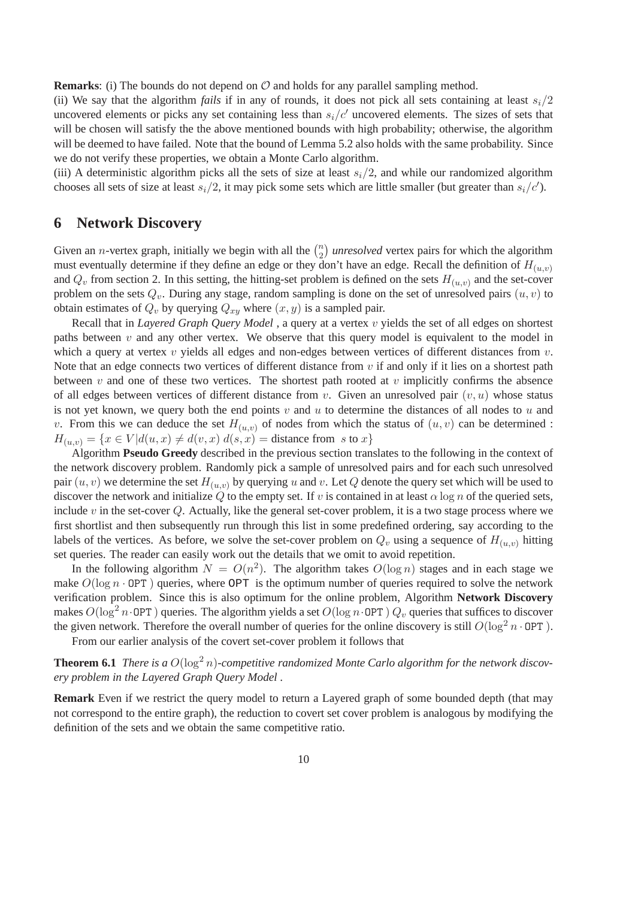**Remarks**: (i) The bounds do not depend on  $\mathcal{O}$  and holds for any parallel sampling method.

(ii) We say that the algorithm *fails* if in any of rounds, it does not pick all sets containing at least  $s_i/2$ uncovered elements or picks any set containing less than  $s_i/c'$  uncovered elements. The sizes of sets that will be chosen will satisfy the the above mentioned bounds with high probability; otherwise, the algorithm will be deemed to have failed. Note that the bound of Lemma 5.2 also holds with the same probability. Since we do not verify these properties, we obtain a Monte Carlo algorithm.

(iii) A deterministic algorithm picks all the sets of size at least  $s_i/2$ , and while our randomized algorithm chooses all sets of size at least  $s_i/2$ , it may pick some sets which are little smaller (but greater than  $s_i/c'$ ).

### **6 Network Discovery**

Given an *n*-vertex graph, initially we begin with all the  $\binom{n}{2}$  $n_2$ ) *unresolved* vertex pairs for which the algorithm must eventually determine if they define an edge or they don't have an edge. Recall the definition of  $H_{(u,v)}$ and  $Q_v$  from section 2. In this setting, the hitting-set problem is defined on the sets  $H_{(u,v)}$  and the set-cover problem on the sets  $Q_v$ . During any stage, random sampling is done on the set of unresolved pairs  $(u, v)$  to obtain estimates of  $Q_v$  by querying  $Q_{xy}$  where  $(x, y)$  is a sampled pair.

Recall that in *Layered Graph Query Model* , a query at a vertex v yields the set of all edges on shortest paths between  $v$  and any other vertex. We observe that this query model is equivalent to the model in which a query at vertex  $v$  yields all edges and non-edges between vertices of different distances from  $v$ . Note that an edge connects two vertices of different distance from  $v$  if and only if it lies on a shortest path between  $v$  and one of these two vertices. The shortest path rooted at  $v$  implicitly confirms the absence of all edges between vertices of different distance from v. Given an unresolved pair  $(v, u)$  whose status is not yet known, we query both the end points  $v$  and  $u$  to determine the distances of all nodes to  $u$  and v. From this we can deduce the set  $H_{(u,v)}$  of nodes from which the status of  $(u, v)$  can be determined :  $H_{(u,v)} = \{x \in V | d(u,x) \neq d(v,x) d(s,x) = \text{distance from } s \text{ to } x\}$ 

Algorithm **Pseudo Greedy** described in the previous section translates to the following in the context of the network discovery problem. Randomly pick a sample of unresolved pairs and for each such unresolved pair  $(u, v)$  we determine the set  $H_{(u,v)}$  by querying u and v. Let Q denote the query set which will be used to discover the network and initialize Q to the empty set. If v is contained in at least  $\alpha \log n$  of the queried sets, include  $v$  in the set-cover  $Q$ . Actually, like the general set-cover problem, it is a two stage process where we first shortlist and then subsequently run through this list in some predefined ordering, say according to the labels of the vertices. As before, we solve the set-cover problem on  $Q_v$  using a sequence of  $H_{(u,v)}$  hitting set queries. The reader can easily work out the details that we omit to avoid repetition.

In the following algorithm  $N = O(n^2)$ . The algorithm takes  $O(\log n)$  stages and in each stage we make  $O(\log n \cdot \text{OPT})$  queries, where OPT is the optimum number of queries required to solve the network verification problem. Since this is also optimum for the online problem, Algorithm **Network Discovery** makes  $O(\log^2 n \cdot \text{OPT})$  queries. The algorithm yields a set  $O(\log n \cdot \text{OPT}) Q_v$  queries that suffices to discover the given network. Therefore the overall number of queries for the online discovery is still  $O(\log^2 n \cdot \text{OPT})$ .

From our earlier analysis of the covert set-cover problem it follows that

**Theorem 6.1** *There is a*  $O(\log^2 n)$ -competitive randomized Monte Carlo algorithm for the network discov*ery problem in the Layered Graph Query Model .*

**Remark** Even if we restrict the query model to return a Layered graph of some bounded depth (that may not correspond to the entire graph), the reduction to covert set cover problem is analogous by modifying the definition of the sets and we obtain the same competitive ratio.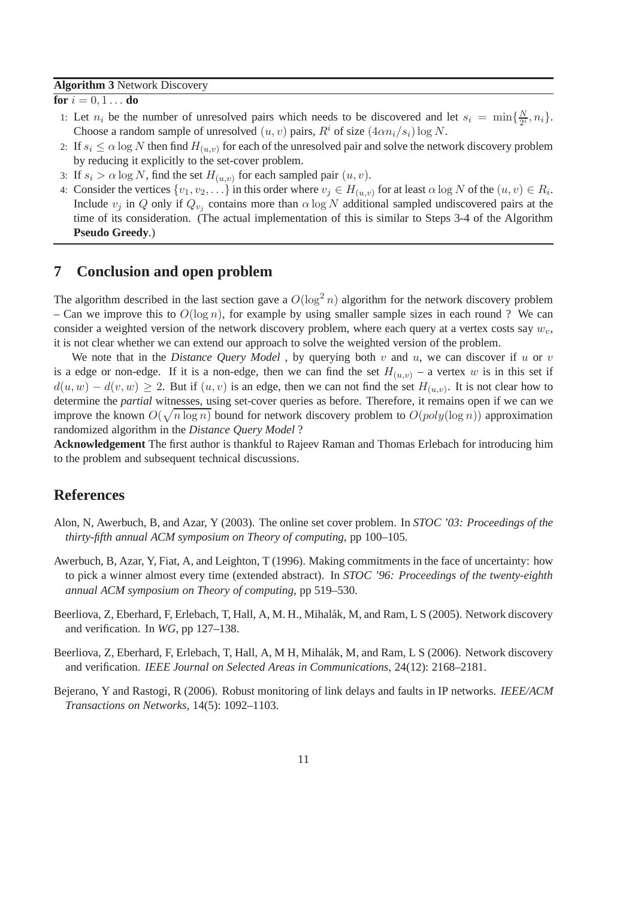#### **Algorithm 3** Network Discovery

**for**  $i = 0, 1...$  **do** 

- 1: Let  $n_i$  be the number of unresolved pairs which needs to be discovered and let  $s_i = \min\{\frac{N}{2^i}\}$  $\frac{N}{2^i}, n_i$ . Choose a random sample of unresolved  $(u, v)$  pairs,  $R<sup>i</sup>$  of size  $(4\alpha n_i/s_i)$  log N.
- 2: If  $s_i \leq \alpha \log N$  then find  $H_{(u,v)}$  for each of the unresolved pair and solve the network discovery problem by reducing it explicitly to the set-cover problem.
- 3: If  $s_i > \alpha \log N$ , find the set  $H_{(u,v)}$  for each sampled pair  $(u, v)$ .
- 4: Consider the vertices  $\{v_1, v_2, \ldots\}$  in this order where  $v_j \in H_{(u,v)}$  for at least  $\alpha \log N$  of the  $(u, v) \in R_i$ . Include  $v_j$  in Q only if  $Q_{v_j}$  contains more than  $\alpha \log N$  additional sampled undiscovered pairs at the time of its consideration. (The actual implementation of this is similar to Steps 3-4 of the Algorithm **Pseudo Greedy**.)

### **7 Conclusion and open problem**

The algorithm described in the last section gave a  $O(\log^2 n)$  algorithm for the network discovery problem – Can we improve this to  $O(\log n)$ , for example by using smaller sample sizes in each round ? We can consider a weighted version of the network discovery problem, where each query at a vertex costs say  $w<sub>v</sub>$ , it is not clear whether we can extend our approach to solve the weighted version of the problem.

We note that in the *Distance Query Model*, by querying both  $v$  and  $u$ , we can discover if  $u$  or  $v$ is a edge or non-edge. If it is a non-edge, then we can find the set  $H_{(u,v)}$  – a vertex w is in this set if  $d(u, w) - d(v, w) \ge 2$ . But if  $(u, v)$  is an edge, then we can not find the set  $H_{(u,v)}$ . It is not clear how to determine the *partial* witnesses, using set-cover queries as before. Therefore, it remains open if we can we improve the known  $O(\sqrt{n \log n})$  bound for network discovery problem to  $O(poly(\log n))$  approximation randomized algorithm in the *Distance Query Model* ?

**Acknowledgement** The first author is thankful to Rajeev Raman and Thomas Erlebach for introducing him to the problem and subsequent technical discussions.

### **References**

- Alon, N, Awerbuch, B, and Azar, Y (2003). The online set cover problem. In *STOC '03: Proceedings of the thirty-fifth annual ACM symposium on Theory of computing*, pp 100–105.
- Awerbuch, B, Azar, Y, Fiat, A, and Leighton, T (1996). Making commitments in the face of uncertainty: how to pick a winner almost every time (extended abstract). In *STOC '96: Proceedings of the twenty-eighth annual ACM symposium on Theory of computing*, pp 519–530.
- Beerliova, Z, Eberhard, F, Erlebach, T, Hall, A, M, H., Mihalák, M, and Ram, L S (2005). Network discovery and verification. In *WG*, pp 127–138.
- Beerliova, Z, Eberhard, F, Erlebach, T, Hall, A, M H, Mihalák, M, and Ram, L S (2006). Network discovery and verification. *IEEE Journal on Selected Areas in Communications*, 24(12): 2168–2181.
- Bejerano, Y and Rastogi, R (2006). Robust monitoring of link delays and faults in IP networks. *IEEE/ACM Transactions on Networks*, 14(5): 1092–1103.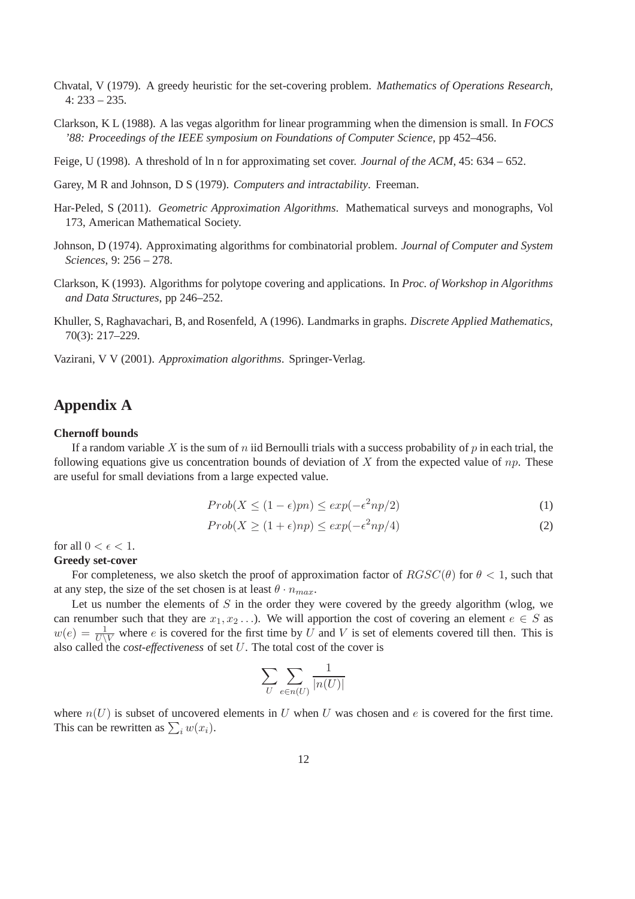- Chvatal, V (1979). A greedy heuristic for the set-covering problem. *Mathematics of Operations Research*, 4: 233 – 235.
- Clarkson, K L (1988). A las vegas algorithm for linear programming when the dimension is small. In *FOCS '88: Proceedings of the IEEE symposium on Foundations of Computer Science*, pp 452–456.
- Feige, U (1998). A threshold of ln n for approximating set cover. *Journal of the ACM*, 45: 634 652.
- Garey, M R and Johnson, D S (1979). *Computers and intractability*. Freeman.
- Har-Peled, S (2011). *Geometric Approximation Algorithms*. Mathematical surveys and monographs, Vol 173, American Mathematical Society.
- Johnson, D (1974). Approximating algorithms for combinatorial problem. *Journal of Computer and System Sciences*, 9: 256 – 278.
- Clarkson, K (1993). Algorithms for polytope covering and applications. In *Proc. of Workshop in Algorithms and Data Structures*, pp 246–252.
- Khuller, S, Raghavachari, B, and Rosenfeld, A (1996). Landmarks in graphs. *Discrete Applied Mathematics*, 70(3): 217–229.
- Vazirani, V V (2001). *Approximation algorithms*. Springer-Verlag.

# **Appendix A**

#### **Chernoff bounds**

If a random variable X is the sum of  $n$  iid Bernoulli trials with a success probability of  $p$  in each trial, the following equations give us concentration bounds of deviation of X from the expected value of  $np$ . These are useful for small deviations from a large expected value.

$$
Prob(X \le (1 - \epsilon)pn) \le exp(-\epsilon^2 np/2)
$$
 (1)

$$
Prob(X \ge (1 + \epsilon)np) \le exp(-\epsilon^2 np/4)
$$
 (2)

for all  $0 < \epsilon < 1$ .

#### **Greedy set-cover**

For completeness, we also sketch the proof of approximation factor of  $RGSC(\theta)$  for  $\theta < 1$ , such that at any step, the size of the set chosen is at least  $\theta \cdot n_{max}$ .

Let us number the elements of  $S$  in the order they were covered by the greedy algorithm (wlog, we can renumber such that they are  $x_1, x_2, \ldots$ ). We will apportion the cost of covering an element  $e \in S$  as  $w(e) = \frac{1}{U\setminus V}$  where e is covered for the first time by U and V is set of elements covered till then. This is also called the *cost-effectiveness* of set U. The total cost of the cover is

$$
\sum_{U} \sum_{e \in n(U)} \frac{1}{|n(U)|}
$$

where  $n(U)$  is subset of uncovered elements in U when U was chosen and e is covered for the first time. This can be rewritten as  $\sum_i w(x_i)$ .